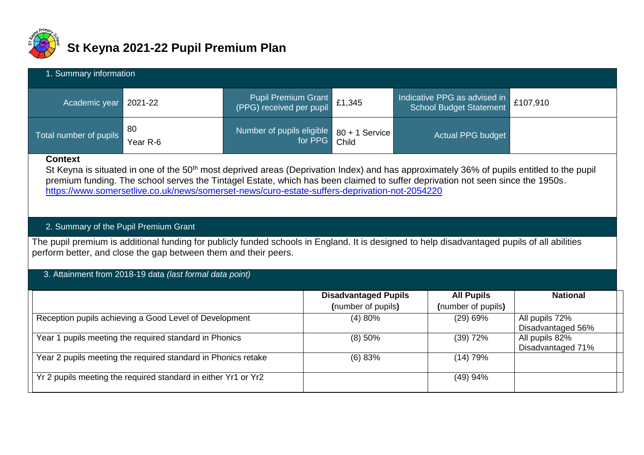

# **St Keyna 2021-22 Pupil Premium Plan**

| 1. Summary information |                |                                                        |  |                                                         |  |  |  |  |  |  |
|------------------------|----------------|--------------------------------------------------------|--|---------------------------------------------------------|--|--|--|--|--|--|
| Academic year          | 2021-22        | Pupil Premium Grant<br>(PPG) received per pupil £1,345 |  | Indicative PPG as advised in<br>School Budget Statement |  |  |  |  |  |  |
| Total number of pupils | 80<br>Year R-6 | Number of pupils eligible 80 + 1 Service               |  | <b>Actual PPG budget</b>                                |  |  |  |  |  |  |

#### **Context**

St Keyna is situated in one of the 50<sup>th</sup> most deprived areas (Deprivation Index) and has approximately 36% of pupils entitled to the pupil premium funding. The school serves the Tintagel Estate, which has been claimed to suffer deprivation not seen since the 1950s. <https://www.somersetlive.co.uk/news/somerset-news/curo-estate-suffers-deprivation-not-2054220>

# 2. Summary of the Pupil Premium Grant

The pupil premium is additional funding for publicly funded schools in England. It is designed to help disadvantaged pupils of all abilities perform better, and close the gap between them and their peers.

## 3. Attainment from 2018-19 data *(last formal data point)*

|                                                                | <b>Disadvantaged Pupils</b><br>(number of pupils) | <b>All Pupils</b><br>(number of pupils) | <b>National</b>                     |
|----------------------------------------------------------------|---------------------------------------------------|-----------------------------------------|-------------------------------------|
| Reception pupils achieving a Good Level of Development         | (4)80%                                            | $(29)$ 69%                              | All pupils 72%<br>Disadvantaged 56% |
| Year 1 pupils meeting the required standard in Phonics         | $(8)$ 50%                                         | $(39)$ 72%                              | All pupils 82%<br>Disadvantaged 71% |
| Year 2 pupils meeting the required standard in Phonics retake  | (6) 83%                                           | (14) 79%                                |                                     |
| Yr 2 pupils meeting the required standard in either Yr1 or Yr2 |                                                   | $(49)$ 94%                              |                                     |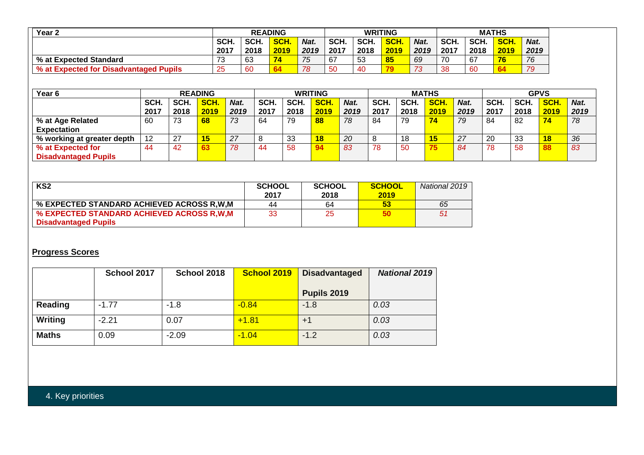| Year 2                                 |           | <b>READING</b> |      |      | <b>WRITING</b> |      |            | <b>MATHS</b> |      |      |            |      |
|----------------------------------------|-----------|----------------|------|------|----------------|------|------------|--------------|------|------|------------|------|
|                                        | SCH.      | SCH.           | SCH. | Nat. | SCH.           | SCH. | <b>SCH</b> | Nat.         | SCH. | SCH. | <b>SCH</b> | Nat. |
|                                        | 2017      | 2018           | 2019 | 2019 | 2017           | 2018 | 2019       | 2019         | 2017 | 2018 | 2019       | 2019 |
| % at Expected Standard                 | ⇁⌒<br>ن ، | 63             | 74   | 75   | 67             | 53   | 85         | 69           | 70   | 67   | 76         | 76   |
| % at Expected for Disadvantaged Pupils | 25        | 60             |      | 78   | 50             | 40   |            | 73           | 38   | 60   | 64         | 79   |

| Year <sub>6</sub>           |      |                | <b>READING</b> |      |      |      | <b>WRITING</b> |      |      |      | <b>MATHS</b> |      |      |      | <b>GPVS</b> |      |
|-----------------------------|------|----------------|----------------|------|------|------|----------------|------|------|------|--------------|------|------|------|-------------|------|
|                             | SCH. | SCH.           | SCH.           | Nat. | SCH. | SCH. | <b>SCH</b>     | Nat. | SCH. | SCH. | <b>SCH.</b>  | Nat. | SCH. | SCH. | <b>SCH</b>  | Nat. |
|                             | 2017 | 2018           | 2019           | 2019 | 2017 | 2018 | 2019           | 2019 | 2017 | 2018 | 2019         | 2019 | 2017 | 2018 | 2019        | 2019 |
| % at Age Related            | 60   | 73             | 68             | 73   | 64   | 79   | 88             | 78   | 84   | 79   |              | 79   | 84   | 82   | 74          | 78   |
| <b>Expectation</b>          |      |                |                |      |      |      |                |      |      |      |              |      |      |      |             |      |
| % working at greater depth  | 12   | $\sim$<br>ا کے | 15             | 27   | 8    | 33   | 18             | 20   |      | 18   |              | 27   | 20   | 33   | 18          | 36   |
| % at Expected for           | 44   | 42             |                | 78   | 44   | 58   | 94             | 83   | 78   | 50   |              | 84   | 78   | 58   | 88          | 83   |
| <b>Disadvantaged Pupils</b> |      |                |                |      |      |      |                |      |      |      |              |      |      |      |             |      |

| KS <sub>2</sub>                           | <b>SCHOOL</b><br>2017 | <b>SCHOOL</b><br>2018 | SCHOOL<br>2019 | National 2019 |
|-------------------------------------------|-----------------------|-----------------------|----------------|---------------|
| % EXPECTED STANDARD ACHIEVED ACROSS R.W.M | 44                    | 64                    | 53             | 65            |
| % EXPECTED STANDARD ACHIEVED ACROSS R.W.M | 33                    | 25                    | 50             | 51            |
| <b>Disadvantaged Pupils</b>               |                       |                       |                |               |

## **Progress Scores**

|                | School 2017 | School 2018 | <b>School 2019</b> | <b>Disadvantaged</b> | <b>National 2019</b> |
|----------------|-------------|-------------|--------------------|----------------------|----------------------|
|                |             |             |                    | Pupils 2019          |                      |
| Reading        | $-1.77$     | $-1.8$      | $-0.84$            | $-1.8$               | 0.03                 |
| <b>Writing</b> | $-2.21$     | 0.07        | $+1.81$            | $+1$                 | 0.03                 |
| <b>Maths</b>   | 0.09        | $-2.09$     | $-1.04$            | $-1.2$               | 0.03                 |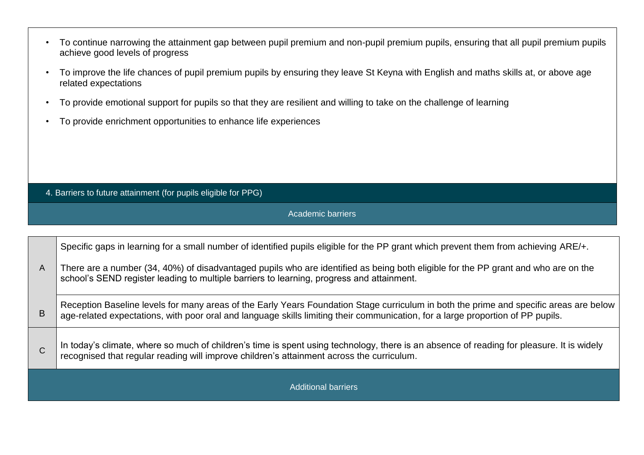- To continue narrowing the attainment gap between pupil premium and non-pupil premium pupils, ensuring that all pupil premium pupils achieve good levels of progress
- To improve the life chances of pupil premium pupils by ensuring they leave St Keyna with English and maths skills at, or above age related expectations
- To provide emotional support for pupils so that they are resilient and willing to take on the challenge of learning
- To provide enrichment opportunities to enhance life experiences

4. Barriers to future attainment (for pupils eligible for PPG)

Academic barriers

|              | Specific gaps in learning for a small number of identified pupils eligible for the PP grant which prevent them from achieving ARE/+.                                                                                                                                      |  |  |  |  |  |  |  |
|--------------|---------------------------------------------------------------------------------------------------------------------------------------------------------------------------------------------------------------------------------------------------------------------------|--|--|--|--|--|--|--|
| $\mathsf{A}$ | There are a number (34, 40%) of disadvantaged pupils who are identified as being both eligible for the PP grant and who are on the<br>school's SEND register leading to multiple barriers to learning, progress and attainment.                                           |  |  |  |  |  |  |  |
| B            | Reception Baseline levels for many areas of the Early Years Foundation Stage curriculum in both the prime and specific areas are below<br>age-related expectations, with poor oral and language skills limiting their communication, for a large proportion of PP pupils. |  |  |  |  |  |  |  |
| $\mathsf{C}$ | In today's climate, where so much of children's time is spent using technology, there is an absence of reading for pleasure. It is widely recognised that regular reading will improve children's attainment across the curric                                            |  |  |  |  |  |  |  |
|              | <b>Additional barriers</b>                                                                                                                                                                                                                                                |  |  |  |  |  |  |  |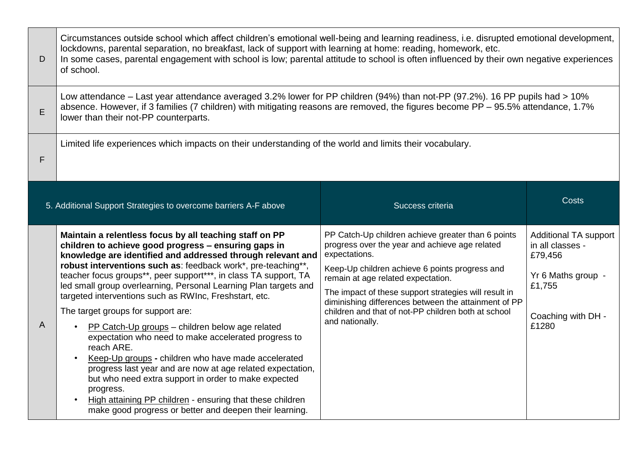| D              | Circumstances outside school which affect children's emotional well-being and learning readiness, i.e. disrupted emotional development,<br>lockdowns, parental separation, no breakfast, lack of support with learning at home: reading, homework, etc.<br>In some cases, parental engagement with school is low; parental attitude to school is often influenced by their own negative experiences<br>of school.                                                                                                                                                                                                                                                                                                                                                                                                                                                                                                                  |                                                                                                                                                                                                                                                                                                                                                                                                          |                                                                                                                            |  |  |  |  |  |
|----------------|------------------------------------------------------------------------------------------------------------------------------------------------------------------------------------------------------------------------------------------------------------------------------------------------------------------------------------------------------------------------------------------------------------------------------------------------------------------------------------------------------------------------------------------------------------------------------------------------------------------------------------------------------------------------------------------------------------------------------------------------------------------------------------------------------------------------------------------------------------------------------------------------------------------------------------|----------------------------------------------------------------------------------------------------------------------------------------------------------------------------------------------------------------------------------------------------------------------------------------------------------------------------------------------------------------------------------------------------------|----------------------------------------------------------------------------------------------------------------------------|--|--|--|--|--|
| E              | Low attendance – Last year attendance averaged 3.2% lower for PP children (94%) than not-PP (97.2%). 16 PP pupils had > 10%<br>absence. However, if 3 families (7 children) with mitigating reasons are removed, the figures become PP – 95.5% attendance, 1.7%<br>lower than their not-PP counterparts.                                                                                                                                                                                                                                                                                                                                                                                                                                                                                                                                                                                                                           |                                                                                                                                                                                                                                                                                                                                                                                                          |                                                                                                                            |  |  |  |  |  |
| F              | Limited life experiences which impacts on their understanding of the world and limits their vocabulary.                                                                                                                                                                                                                                                                                                                                                                                                                                                                                                                                                                                                                                                                                                                                                                                                                            |                                                                                                                                                                                                                                                                                                                                                                                                          |                                                                                                                            |  |  |  |  |  |
|                | 5. Additional Support Strategies to overcome barriers A-F above                                                                                                                                                                                                                                                                                                                                                                                                                                                                                                                                                                                                                                                                                                                                                                                                                                                                    | Success criteria                                                                                                                                                                                                                                                                                                                                                                                         | <b>Costs</b>                                                                                                               |  |  |  |  |  |
| $\overline{A}$ | Maintain a relentless focus by all teaching staff on PP<br>children to achieve good progress - ensuring gaps in<br>knowledge are identified and addressed through relevant and<br>robust interventions such as: feedback work*, pre-teaching**,<br>teacher focus groups**, peer support***, in class TA support, TA<br>led small group overlearning, Personal Learning Plan targets and<br>targeted interventions such as RWInc, Freshstart, etc.<br>The target groups for support are:<br>PP Catch-Up groups - children below age related<br>expectation who need to make accelerated progress to<br>reach ARE.<br>Keep-Up groups - children who have made accelerated<br>progress last year and are now at age related expectation,<br>but who need extra support in order to make expected<br>progress.<br>High attaining PP children - ensuring that these children<br>make good progress or better and deepen their learning. | PP Catch-Up children achieve greater than 6 points<br>progress over the year and achieve age related<br>expectations.<br>Keep-Up children achieve 6 points progress and<br>remain at age related expectation.<br>The impact of these support strategies will result in<br>diminishing differences between the attainment of PP<br>children and that of not-PP children both at school<br>and nationally. | <b>Additional TA support</b><br>in all classes -<br>£79,456<br>Yr 6 Maths group -<br>£1,755<br>Coaching with DH -<br>£1280 |  |  |  |  |  |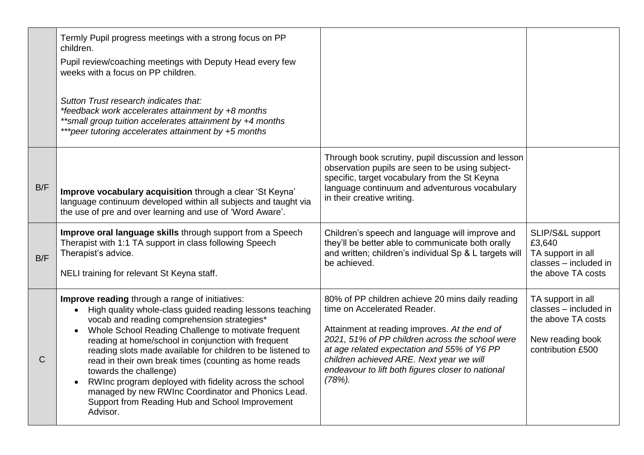|              | Termly Pupil progress meetings with a strong focus on PP<br>children.<br>Pupil review/coaching meetings with Deputy Head every few<br>weeks with a focus on PP children.<br>Sutton Trust research indicates that:<br>*feedback work accelerates attainment by +8 months<br>**small group tuition accelerates attainment by +4 months<br>***peer tutoring accelerates attainment by +5 months                                                                                                                                                                                                                           |                                                                                                                                                                                                                                                                                                                                                  |                                                                                                           |
|--------------|------------------------------------------------------------------------------------------------------------------------------------------------------------------------------------------------------------------------------------------------------------------------------------------------------------------------------------------------------------------------------------------------------------------------------------------------------------------------------------------------------------------------------------------------------------------------------------------------------------------------|--------------------------------------------------------------------------------------------------------------------------------------------------------------------------------------------------------------------------------------------------------------------------------------------------------------------------------------------------|-----------------------------------------------------------------------------------------------------------|
| B/F          | Improve vocabulary acquisition through a clear 'St Keyna'<br>language continuum developed within all subjects and taught via<br>the use of pre and over learning and use of 'Word Aware'.                                                                                                                                                                                                                                                                                                                                                                                                                              | Through book scrutiny, pupil discussion and lesson<br>observation pupils are seen to be using subject-<br>specific, target vocabulary from the St Keyna<br>language continuum and adventurous vocabulary<br>in their creative writing.                                                                                                           |                                                                                                           |
| B/F          | Improve oral language skills through support from a Speech<br>Therapist with 1:1 TA support in class following Speech<br>Therapist's advice.<br>NELI training for relevant St Keyna staff.                                                                                                                                                                                                                                                                                                                                                                                                                             | Children's speech and language will improve and<br>they'll be better able to communicate both orally<br>and written; children's individual Sp & L targets will<br>be achieved.                                                                                                                                                                   | SLIP/S&L support<br>£3,640<br>TA support in all<br>classes - included in<br>the above TA costs            |
| $\mathsf{C}$ | Improve reading through a range of initiatives:<br>High quality whole-class guided reading lessons teaching<br>$\bullet$<br>vocab and reading comprehension strategies*<br>Whole School Reading Challenge to motivate frequent<br>reading at home/school in conjunction with frequent<br>reading slots made available for children to be listened to<br>read in their own break times (counting as home reads<br>towards the challenge)<br>RWInc program deployed with fidelity across the school<br>managed by new RWInc Coordinator and Phonics Lead.<br>Support from Reading Hub and School Improvement<br>Advisor. | 80% of PP children achieve 20 mins daily reading<br>time on Accelerated Reader.<br>Attainment at reading improves. At the end of<br>2021, 51% of PP children across the school were<br>at age related expectation and 55% of Y6 PP<br>children achieved ARE. Next year we will<br>endeavour to lift both figures closer to national<br>$(78%)$ . | TA support in all<br>classes - included in<br>the above TA costs<br>New reading book<br>contribution £500 |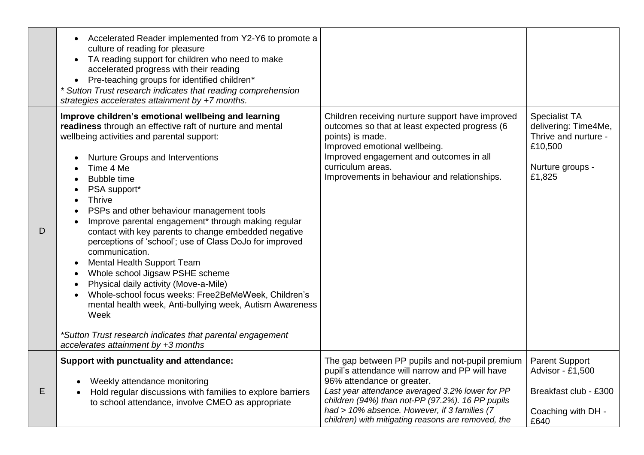| Accelerated Reader implemented from Y2-Y6 to promote a<br>$\bullet$<br>culture of reading for pleasure<br>TA reading support for children who need to make<br>accelerated progress with their reading<br>Pre-teaching groups for identified children*<br>$\bullet$<br>* Sutton Trust research indicates that reading comprehension<br>strategies accelerates attainment by +7 months.                                                                                                                                                                                                                                                                                                                                                                                                                                                                                                                                                                                             |                                                                                                                                                                                                                                                                                                                                               |                                                                                                               |
|-----------------------------------------------------------------------------------------------------------------------------------------------------------------------------------------------------------------------------------------------------------------------------------------------------------------------------------------------------------------------------------------------------------------------------------------------------------------------------------------------------------------------------------------------------------------------------------------------------------------------------------------------------------------------------------------------------------------------------------------------------------------------------------------------------------------------------------------------------------------------------------------------------------------------------------------------------------------------------------|-----------------------------------------------------------------------------------------------------------------------------------------------------------------------------------------------------------------------------------------------------------------------------------------------------------------------------------------------|---------------------------------------------------------------------------------------------------------------|
| Improve children's emotional wellbeing and learning<br>readiness through an effective raft of nurture and mental<br>wellbeing activities and parental support:<br>Nurture Groups and Interventions<br>$\bullet$<br>Time 4 Me<br><b>Bubble time</b><br>$\bullet$<br>PSA support*<br>$\bullet$<br><b>Thrive</b><br>$\bullet$<br>PSPs and other behaviour management tools<br>$\bullet$<br>Improve parental engagement* through making regular<br>$\bullet$<br>contact with key parents to change embedded negative<br>perceptions of 'school'; use of Class DoJo for improved<br>communication.<br>Mental Health Support Team<br>$\bullet$<br>Whole school Jigsaw PSHE scheme<br>$\bullet$<br>Physical daily activity (Move-a-Mile)<br>$\bullet$<br>Whole-school focus weeks: Free2BeMeWeek, Children's<br>mental health week, Anti-bullying week, Autism Awareness<br>Week<br>*Sutton Trust research indicates that parental engagement<br>$accelerates$ attainment by $+3$ months | Children receiving nurture support have improved<br>outcomes so that at least expected progress (6<br>points) is made.<br>Improved emotional wellbeing.<br>Improved engagement and outcomes in all<br>curriculum areas.<br>Improvements in behaviour and relationships.                                                                       | <b>Specialist TA</b><br>delivering: Time4Me,<br>Thrive and nurture -<br>£10,500<br>Nurture groups -<br>£1,825 |
| Support with punctuality and attendance:<br>Weekly attendance monitoring<br>Hold regular discussions with families to explore barriers<br>to school attendance, involve CMEO as appropriate                                                                                                                                                                                                                                                                                                                                                                                                                                                                                                                                                                                                                                                                                                                                                                                       | The gap between PP pupils and not-pupil premium<br>pupil's attendance will narrow and PP will have<br>96% attendance or greater.<br>Last year attendance averaged 3.2% lower for PP<br>children (94%) than not-PP (97.2%). 16 PP pupils<br>had > 10% absence. However, if 3 families (7<br>children) with mitigating reasons are removed, the | <b>Parent Support</b><br>Advisor - £1,500<br>Breakfast club - £300<br>Coaching with DH -<br>£640              |

D

E